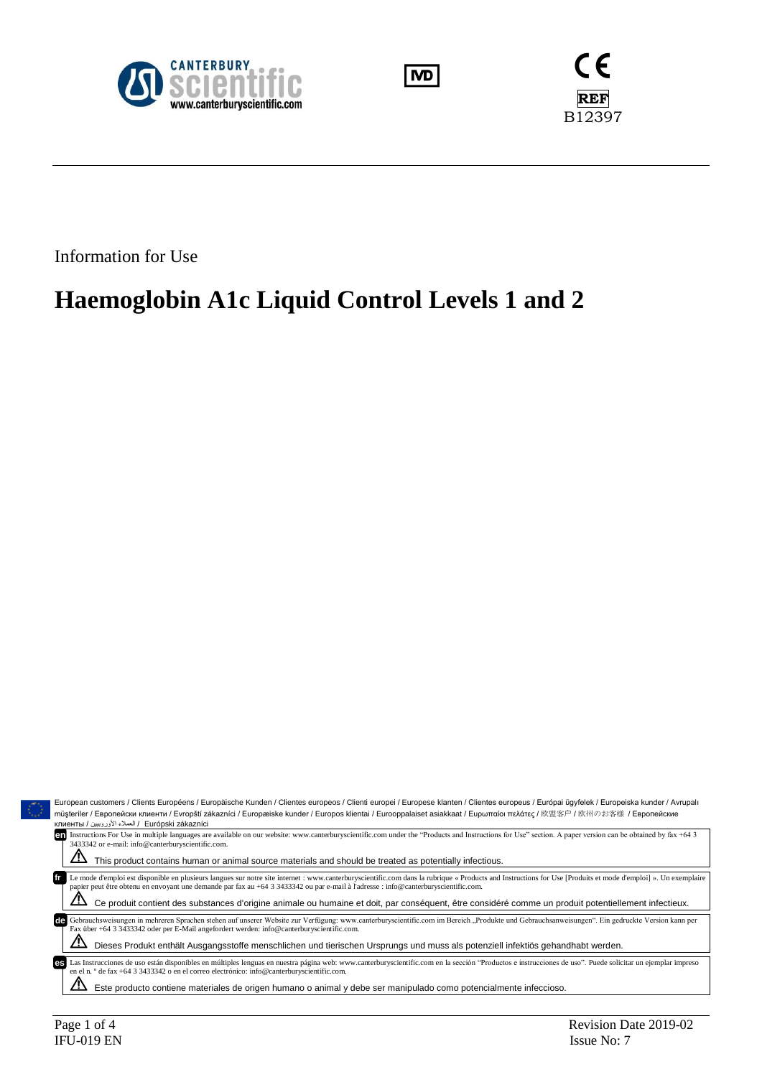





Information for Use

# **Haemoglobin A1c Liquid Control Levels 1 and 2**

|                                                                                                                                                                          | European customers / Clients Européens / Europäische Kunden / Clientes europeos / Clienti europei / Europese klanten / Clientes europeus / Európai ügyfelek / Europeiska kunder / Avrupalı                                                                                                                                                           |  |  |  |  |  |
|--------------------------------------------------------------------------------------------------------------------------------------------------------------------------|------------------------------------------------------------------------------------------------------------------------------------------------------------------------------------------------------------------------------------------------------------------------------------------------------------------------------------------------------|--|--|--|--|--|
| müşteriler / Европейски клиенти / Evropští zákazníci / Europæiske kunder / Europos klientai / Eurooppalaiset asiakkaat / Еυρωπαίοι πελάτες / 欧盟客户 / 欧州のお客様 / Европейские |                                                                                                                                                                                                                                                                                                                                                      |  |  |  |  |  |
| клиенты / العملاء الأوروبيين / Еurópski zákazníci                                                                                                                        |                                                                                                                                                                                                                                                                                                                                                      |  |  |  |  |  |
| 3433342 or e-mail: info@canterburyscientific.com.                                                                                                                        | en Instructions For Use in multiple languages are available on our website: www.canterburyscientific.com under the "Products and Instructions for Use" section. A paper version can be obtained by fax +64 3                                                                                                                                         |  |  |  |  |  |
|                                                                                                                                                                          | This product contains human or animal source materials and should be treated as potentially infectious.                                                                                                                                                                                                                                              |  |  |  |  |  |
|                                                                                                                                                                          | Le mode d'emploi est disponible en plusieurs langues sur notre site internet : www.canterburyscientific.com dans la rubrique « Products and Instructions for Use [Produits et mode d'emploi] ». Un exemplaire<br>papier peut être obtenu en envoyant une demande par fax au +64 3 3433342 ou par e-mail à l'adresse : info@canterburyscientific.com. |  |  |  |  |  |
|                                                                                                                                                                          | Ce produit contient des substances d'origine animale ou humaine et doit, par conséquent, être considéré comme un produit potentiellement infectieux.                                                                                                                                                                                                 |  |  |  |  |  |
| de<br>Fax über +64 3 3433342 oder per E-Mail angefordert werden: info@canterburyscientific.com.                                                                          | Gebrauchsweisungen in mehreren Sprachen stehen auf unserer Website zur Verfügung: www.canterburyscientific.com im Bereich "Produkte und Gebrauchsanweisungen". Ein gedruckte Version kann per                                                                                                                                                        |  |  |  |  |  |
| Dieses Produkt enthält Ausgangsstoffe menschlichen und tierischen Ursprungs und muss als potenziell infektiös gehandhabt werden.                                         |                                                                                                                                                                                                                                                                                                                                                      |  |  |  |  |  |
| es<br>en el n. $\degree$ de fax +64 3 3433342 o en el correo electrónico: info@canterburyscientific.com.                                                                 | Las Instrucciones de uso están disponibles en múltiples lenguas en nuestra página web: www.canterburyscientific.com en la sección "Productos e instrucciones de uso". Puede solicitar un ejemplar impreso                                                                                                                                            |  |  |  |  |  |
|                                                                                                                                                                          | Este producto contiene materiales de origen humano o animal y debe ser manipulado como potencialmente infeccioso.                                                                                                                                                                                                                                    |  |  |  |  |  |
|                                                                                                                                                                          |                                                                                                                                                                                                                                                                                                                                                      |  |  |  |  |  |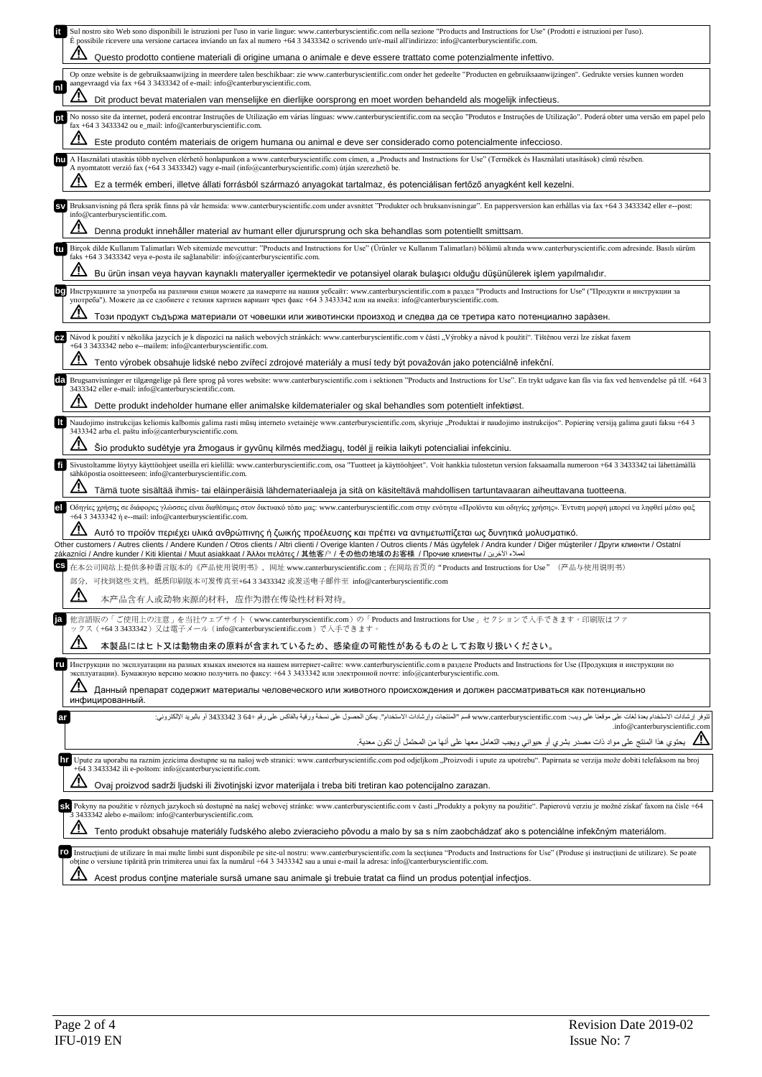|    | Sul nostro sito Web sono disponibili le istruzioni per l'uso in varie lingue: www.canterburyscientific.com nella sezione "Products and Instructions for Use" (Prodotti e istruzioni per l'uso).<br>E possibile ricevere una versione cartacea inviando un fax al numero +64 3 3433342 o scrivendo un'e-mail all'indirizzo: info@canterburyscientific.com.         |
|----|-------------------------------------------------------------------------------------------------------------------------------------------------------------------------------------------------------------------------------------------------------------------------------------------------------------------------------------------------------------------|
|    | Questo prodotto contiene materiali di origine umana o animale e deve essere trattato come potenzialmente infettivo.                                                                                                                                                                                                                                               |
| mı | Op onze website is de gebruiksaanwijzing in meerdere talen beschikbaar: zie www.canterburyscientific.com onder het gedeelte "Producten en gebruiksaanwijzingen". Gedrukte versies kunnen worden<br>aangevraagd via fax +64 3 3433342 of e-mail: info@canterburyscientific.com.                                                                                    |
|    | Dit product bevat materialen van menselijke en dierlijke oorsprong en moet worden behandeld als mogelijk infectieus.                                                                                                                                                                                                                                              |
|    | No nosso site da internet, poderá encontrar Instruções de Utilização em várias línguas: www.canterburyscientific.com na secção "Produtos e Instruções de Utilização". Poderá obter uma versão em papel pelo<br>fax +64 3 3433342 ou e_mail: info@canterburyscientific.com.                                                                                        |
|    | Este produto contém materiais de origem humana ou animal e deve ser considerado como potencialmente infeccioso.                                                                                                                                                                                                                                                   |
|    | A Használati utasítás több nyelven elérhető honlapunkon a www.canterburyscientific.com címen, a "Products and Instructions for Use" (Termékek és Használati utasítások) című részben.<br>A nyomtatott verzió fax (+64 3 3433342) vagy e-mail (info@canterburyscientific.com) útján szerezhető be.                                                                 |
|    | Ez a termék emberi, illetve állati forrásból származó anyagokat tartalmaz, és potenciálisan fertőző anyagként kell kezelni.                                                                                                                                                                                                                                       |
|    | Bruksanvisning på flera språk finns på vår hemsida: www.canterburyscientific.com under avsnittet "Produkter och bruksanvisningar". En pappersversion kan erhållas via fax +64 3 3433342 eller e--post:<br>info@canterburyscientific.com.                                                                                                                          |
|    | Denna produkt innehåller material av humant eller djurursprung och ska behandlas som potentiellt smittsam.                                                                                                                                                                                                                                                        |
| tu | Birçok dilde Kullanım Talimatları Web sitemizde mevcuttur: "Products and Instructions for Use" (Urünler ve Kullanım Talimatları) bölümü altında www.canterburyscientific.com adresinde. Basılı sürüm<br>faks $+64$ 3 3433342 veya e-posta ile sağlanabilir: info@canterburyscientific.com.                                                                        |
|    | Bu ürün insan veya hayvan kaynaklı materyaller içermektedir ve potansiyel olarak bulaşıcı olduğu düşünülerek işlem yapılmalıdır.                                                                                                                                                                                                                                  |
|    | Инструкциите за употреба на различни езици можете да намерите на нашия уебсайт: www.canterburyscientific.com в раздел "Products and Instructions for Use" ("Продукти и инструкции за<br>употреба"). Можете да се сдобиете с техния хартиен вариант чрез факс +64 3 3433342 или на имейл: info@canterburyscientific.com.                                           |
|    | Този продукт съдържа материали от човешки или животински произход и следва да се третира като потенциално зара̀зен.                                                                                                                                                                                                                                               |
|    | Návod k použití v několika jazycích je k dispozici na našich webových stránkách: www.canterburyscientific.com v části "Výrobky a návod k použití". Tištěnou verzi lze získat faxem<br>+64 3 3433342 nebo e--mailem: info@canterburyscientific.com.                                                                                                                |
|    | Tento výrobek obsahuje lidské nebo zvířecí zdrojové materiály a musí tedy být považován jako potenciálně infekční.                                                                                                                                                                                                                                                |
|    | EEI Brugsanvisninger er tilgængelige på flere sprog på vores website: www.canterburyscientific.com i sektionen "Products and Instructions for Use". En trykt udgave kan fås via fax ved henvendelse på tlf. +64 3<br>3433342 eller e-mail: info@canterburyscientific.com.                                                                                         |
|    | Dette produkt indeholder humane eller animalske kildematerialer og skal behandles som potentielt infektiøst.                                                                                                                                                                                                                                                      |
|    | Naudojimo instrukcijas keliomis kalbomis galima rasti mūsų interneto svetainėje www.canterburyscientific.com, skyriuje "Produktai ir naudojimo instrukcijos". Popierinę versiją galima gauti faksu +64 3                                                                                                                                                          |
|    | 3433342 arba el. paštu info@canterburyscientific.com.<br>Sio produkto sudėtyje yra žmogaus ir gyvūnų kilmės medžiagų, todėl jį reikia laikyti potencialiai infekciniu.                                                                                                                                                                                            |
| ft | Sivustoltamme löytyy käyttöohjeet useilla eri kielillä: www.canterburyscientific.com, osa "Tuotteet ja käyttöohjeet". Voit hankkia tulostetun version faksaamalla numeroon +64 3 3433342 tai lähettämällä                                                                                                                                                         |
|    | sähköpostia osoitteeseen: info@canterburyscientific.com.<br>Tämä tuote sisältää ihmis- tai eläinperäisiä lähdemateriaaleja ja sitä on käsiteltävä mahdollisen tartuntavaaran aiheuttavana tuotteena.                                                                                                                                                              |
| el | Οδηγίες χρήσης σε διάφορες γλώσσες είναι διαθέσιμες στον δικτυακό τόπο μας: www.canterburyscientific.com στην ενότητα «Προϊόντα και οδηγίες χρήσης». Έντυπη μορφή μπορεί να ληφθεί μέσω φαξ<br>+64 3 3433342 ή e--mail: info@canterburyscientific.com.                                                                                                            |
|    | Αυτό το προϊόν περιέχει υλικά ανθρώπινης ή ζωικής προέλευσης και πρέπει να αντιμετωπίζεται ως δυνητικά μολυσματικό.                                                                                                                                                                                                                                               |
|    | Other customers / Autres clients / Andere Kunden / Otros clients / Altri clienti / Overige klanten / Outros clients / Más ügyfelek / Andra kunder / Diğer müşteriler / Други клиенти / Ostatní<br>zákazníci / Andre kunder / Kiti klientai / Muut asiakkaat / Άλλοι πελάτες / 其他客户 / その他の地域のお客様 / Прочие клиенты /                                                |
|    | 在本公司网站上提供多种语言版本的《产品使用说明书》,网址 www.canterburyscientific.com;在网站首页的"Products and Instructions for Use"(产品与使用说明书)                                                                                                                                                                                                                                                     |
|    | 部分,可找到这些文档。纸质印刷版本可发传真至+64 3 3433342 或发送电子邮件至 info@canterburyscientific.com                                                                                                                                                                                                                                                                                        |
|    | $\Delta$<br>本产品含有人或动物来源的材料,应作为潜在传染性材料对待。                                                                                                                                                                                                                                                                                                                          |
|    | 他言語版の「ご使用上の注意」を当社ウェブサイト (www.canterburyscientific.com) の「Products and Instructions for Use」セクションで入手できます。印刷版はファ<br>ックス(+6433433342)又は電子メール(info@canterburyscientific.com)で入手できます。                                                                                                                                                                                  |
|    | <u>/ \</u><br>本製品にはヒト又は動物由来の原料が含まれているため、感染症の可能性があるものとしてお取り扱いください。                                                                                                                                                                                                                                                                                                 |
|    | Инструкции по эксплуатации на разных языках имеются на нашем интернет-сайте: www.canterburyscientific.com в разделе Products and Instructions for Use (Продукция и инструкции по<br>эксплуатации). Бумажную версию можно получить по факсу: +64 3 3433342 или электронной почте: info@canterburyscientific.com.                                                   |
|    | <u>/I</u><br>Данный препарат содержит материалы человеческого или животного происхождения и должен рассматриваться как потенциально                                                                                                                                                                                                                               |
| ar | инфицированный.<br>تتوفر إرشادات الاستخدام بعدة لغات على موقعنا على ويب: www.canterburyscientific.com قسم "العنتجات وإرشادات الاستخدام". يمكن الحصول على نسخة ورقية بالفاكس على رقم +66 3433342 أو بالبريد الإلكتروني:                                                                                                                                            |
|    | .info@canterburyscientific.com                                                                                                                                                                                                                                                                                                                                    |
|    | يحتوي هذا المنتج على مواد ذات مصدر بشري أو حيواني ويجب التعامل معها على أنها من المحتمل أن تكون معدية.                                                                                                                                                                                                                                                            |
|    | 11 Upute za uporabu na raznim jezicima dostupne su na našoj web stranici: www.canterburyscientific.com pod odjeljkom "Proizvodi i upute za upotrebu". Papirnata se verzija može dobiti telefaksom na broj<br>+64 3 3433342 ili e-poštom: info@canterburyscientific.com.                                                                                           |
|    | Ovaj proizvod sadrži ljudski ili životinjski izvor materijala i treba biti tretiran kao potencijalno zarazan.                                                                                                                                                                                                                                                     |
|    | SA Pokyny na použitie v rôznych jazykoch sú dostupné na našej webovej stránke: www.canterburyscientific.com v časti "Produkty a pokyny na použitie". Papierovú verziu je možné získať faxom na čísle +64<br>3 3433342 alebo e-mailom: info@canterburyscientific.com.                                                                                              |
|    | Tento produkt obsahuje materiály ľudského alebo zvieracieho pôvodu a malo by sa s ním zaobchádzať ako s potenciálne infekčným materiálom.                                                                                                                                                                                                                         |
|    | Instructiuni de utilizare în mai multe limbi sunt disponibile pe site-ul nostru: www.canterburyscientific.com la sectiunea "Products and Instructions for Use" (Produse și instructiuni de utilizare). Se poate<br>ro<br>obține o versiune tipărită prin trimiterea unui fax la numărul +64 3 3433342 sau a unui e-mail la adresa: info@canterburyscientific.com. |
|    | Acest produs contine materiale sursă umane sau animale și trebuie tratat ca fiind un produs potențial infecțios.                                                                                                                                                                                                                                                  |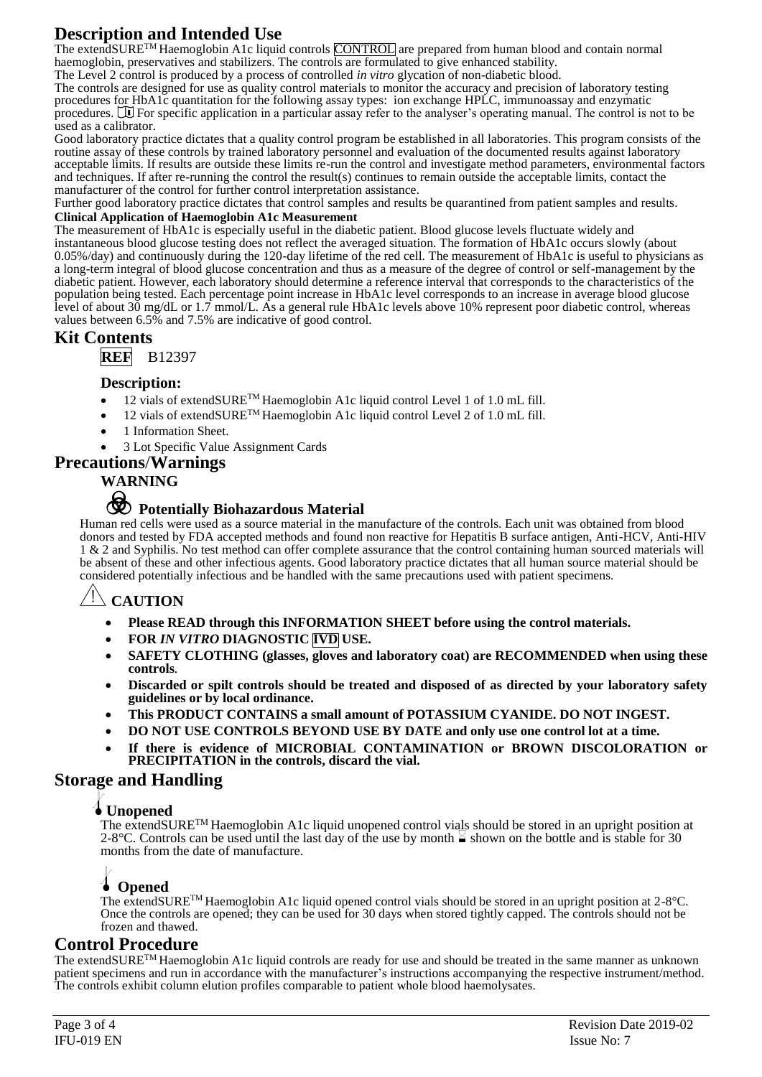## **Description and Intended Use**

The extendSURE™ Haemoglobin A1c liquid controls CONTROL are prepared from human blood and contain normal haemoglobin, preservatives and stabilizers. The controls are formulated to give enhanced stability.

The Level 2 control is produced by a process of controlled *in vitro* glycation of non-diabetic blood.

The controls are designed for use as quality control materials to monitor the accuracy and precision of laboratory testing procedures for HbA1c quantitation for the following assay types: ion exchange HPLC, immunoassay and enzymatic procedures.  $\Box$  For specific application in a particular assay refer to the analyser's operating manual. The control is not to be used as a calibrator.

Good laboratory practice dictates that a quality control program be established in all laboratories. This program consists of the routine assay of these controls by trained laboratory personnel and evaluation of the documented results against laboratory acceptable limits. If results are outside these limits re-run the control and investigate method parameters, environmental factors and techniques. If after re-running the control the result(s) continues to remain outside the acceptable limits, contact the manufacturer of the control for further control interpretation assistance.

Further good laboratory practice dictates that control samples and results be quarantined from patient samples and results.

#### **Clinical Application of Haemoglobin A1c Measurement**

The measurement of HbA1c is especially useful in the diabetic patient. Blood glucose levels fluctuate widely and instantaneous blood glucose testing does not reflect the averaged situation. The formation of HbA1c occurs slowly (about 0.05%/day) and continuously during the 120-day lifetime of the red cell. The measurement of HbA1c is useful to physicians as a long-term integral of blood glucose concentration and thus as a measure of the degree of control or self-management by the diabetic patient. However, each laboratory should determine a reference interval that corresponds to the characteristics of the population being tested. Each percentage point increase in HbA1c level corresponds to an increase in average blood glucose level of about 30 mg/dL or 1.7 mmol/L. As a general rule HbA1c levels above 10% represent poor diabetic control, whereas values between 6.5% and 7.5% are indicative of good control.

## **Kit Contents**

**REF** B12397

#### **Description:**

- 12 vials of extendSURE™ Haemoglobin A1c liquid control Level 1 of 1.0 mL fill.
- 12 vials of extendSURE<sup>TM</sup> Haemoglobin A1c liquid control Level 2 of 1.0 mL fill.
- 1 Information Sheet.

• 3 Lot Specific Value Assignment Cards

## **Precautions**/**Warnings**

## **WARNING**



# F **Potentially Biohazardous Material**

Human red cells were used as a source material in the manufacture of the controls. Each unit was obtained from blood donors and tested by FDA accepted methods and found non reactive for Hepatitis B surface antigen, Anti-HCV, Anti-HIV 1 & 2 and Syphilis. No test method can offer complete assurance that the control containing human sourced materials will be absent of these and other infectious agents. Good laboratory practice dictates that all human source material should be considered potentially infectious and be handled with the same precautions used with patient specimens.

## **CAUTION**

- **Please READ through this INFORMATION SHEET before using the control materials.**
- **FOR** *IN VITRO* **DIAGNOSTIC IVD USE.**
- **SAFETY CLOTHING (glasses, gloves and laboratory coat) are RECOMMENDED when using these controls***.*
- **Discarded or spilt controls should be treated and disposed of as directed by your laboratory safety guidelines or by local ordinance.**
- **This PRODUCT CONTAINS a small amount of POTASSIUM CYANIDE. DO NOT INGEST.**
- **DO NOT USE CONTROLS BEYOND USE BY DATE and only use one control lot at a time.**
- **If there is evidence of MICROBIAL CONTAMINATION or BROWN DISCOLORATION or PRECIPITATION in the controls, discard the vial.**

## **Storage and Handling**

## l**Unopened**

The extendSURE<sup>TM</sup> Haemoglobin A1c liquid unopened control vials should be stored in an upright position at  $2-8^{\circ}$ C. Controls can be used until the last day of the use by month  $\leq$  shown on the bottle and is stable for 30 months from the date of manufacture.

## l **Opened**

The extendSURETM Haemoglobin A1c liquid opened control vials should be stored in an upright position at 2-8°C. Once the controls are opened; they can be used for 30 days when stored tightly capped. The controls should not be frozen and thawed.

## **Control Procedure**

The extendSURETM Haemoglobin A1c liquid controls are ready for use and should be treated in the same manner as unknown patient specimens and run in accordance with the manufacturer's instructions accompanying the respective instrument/method. The controls exhibit column elution profiles comparable to patient whole blood haemolysates.